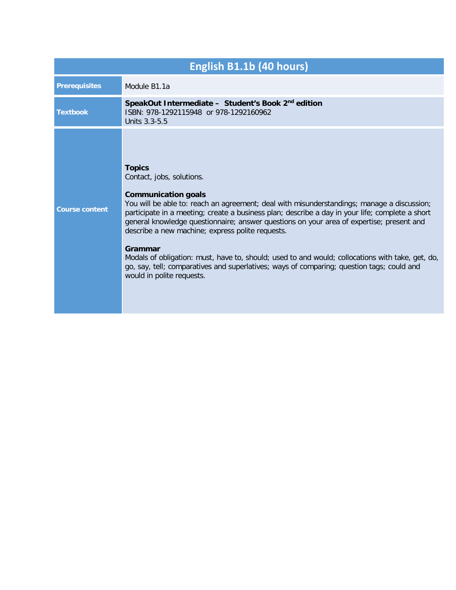| English B1.1b (40 hours) |                                                                                                                                                                                                                                                                                                                                                                                                                                                                                                                                                                                                                                                                    |
|--------------------------|--------------------------------------------------------------------------------------------------------------------------------------------------------------------------------------------------------------------------------------------------------------------------------------------------------------------------------------------------------------------------------------------------------------------------------------------------------------------------------------------------------------------------------------------------------------------------------------------------------------------------------------------------------------------|
| <b>Prerequisites</b>     | Module B1.1a                                                                                                                                                                                                                                                                                                                                                                                                                                                                                                                                                                                                                                                       |
| <b>Textbook</b>          | SpeakOut Intermediate - Student's Book 2 <sup>nd</sup> edition<br>ISBN: 978-1292115948 or 978-1292160962<br>Units 3.3-5.5                                                                                                                                                                                                                                                                                                                                                                                                                                                                                                                                          |
| <b>Course content</b>    | <b>Topics</b><br>Contact, jobs, solutions.<br><b>Communication goals</b><br>You will be able to: reach an agreement; deal with misunderstandings; manage a discussion;<br>participate in a meeting; create a business plan; describe a day in your life; complete a short<br>general knowledge questionnaire; answer questions on your area of expertise; present and<br>describe a new machine; express polite requests.<br>Grammar<br>Modals of obligation: must, have to, should; used to and would; collocations with take, get, do,<br>go, say, tell; comparatives and superlatives; ways of comparing; question tags; could and<br>would in polite requests. |